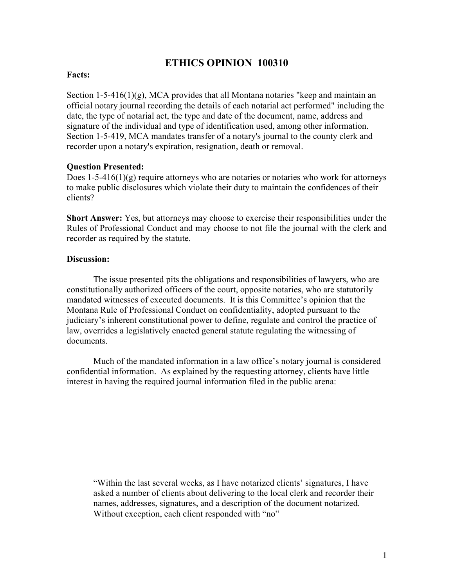# **ETHICS OPINION 100310**

## **Facts:**

Section 1-5-416(1)(g), MCA provides that all Montana notaries "keep and maintain an official notary journal recording the details of each notarial act performed" including the date, the type of notarial act, the type and date of the document, name, address and signature of the individual and type of identification used, among other information. Section 1-5-419, MCA mandates transfer of a notary's journal to the county clerk and recorder upon a notary's expiration, resignation, death or removal.

#### **Question Presented:**

Does  $1-5-416(1)(g)$  require attorneys who are notaries or notaries who work for attorneys to make public disclosures which violate their duty to maintain the confidences of their clients?

**Short Answer:** Yes, but attorneys may choose to exercise their responsibilities under the Rules of Professional Conduct and may choose to not file the journal with the clerk and recorder as required by the statute.

## **Discussion:**

The issue presented pits the obligations and responsibilities of lawyers, who are constitutionally authorized officers of the court, opposite notaries, who are statutorily mandated witnesses of executed documents. It is this Committee's opinion that the Montana Rule of Professional Conduct on confidentiality, adopted pursuant to the judiciary's inherent constitutional power to define, regulate and control the practice of law, overrides a legislatively enacted general statute regulating the witnessing of documents.

Much of the mandated information in a law office's notary journal is considered confidential information. As explained by the requesting attorney, clients have little interest in having the required journal information filed in the public arena:

"Within the last several weeks, as I have notarized clients' signatures, I have asked a number of clients about delivering to the local clerk and recorder their names, addresses, signatures, and a description of the document notarized. Without exception, each client responded with "no"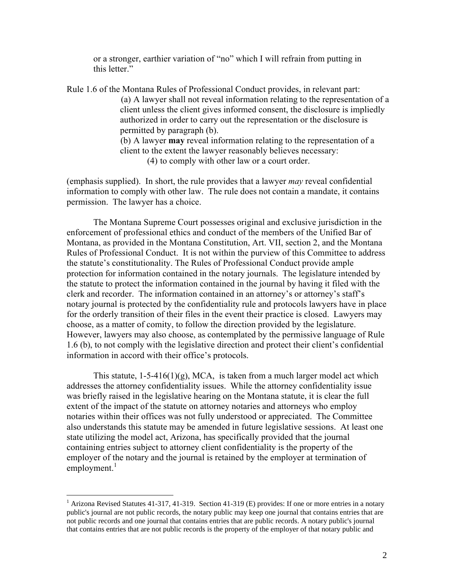or a stronger, earthier variation of "no" which I will refrain from putting in this letter."

Rule 1.6 of the Montana Rules of Professional Conduct provides, in relevant part: (a) A lawyer shall not reveal information relating to the representation of a client unless the client gives informed consent, the disclosure is impliedly authorized in order to carry out the representation or the disclosure is permitted by paragraph (b). (b) A lawyer **may** reveal information relating to the representation of a client to the extent the lawyer reasonably believes necessary:

(4) to comply with other law or a court order.

(emphasis supplied). In short, the rule provides that a lawyer *may* reveal confidential information to comply with other law. The rule does not contain a mandate, it contains permission. The lawyer has a choice.

The Montana Supreme Court possesses original and exclusive jurisdiction in the enforcement of professional ethics and conduct of the members of the Unified Bar of Montana, as provided in the Montana Constitution, Art. VII, section 2, and the Montana Rules of Professional Conduct. It is not within the purview of this Committee to address the statute's constitutionality. The Rules of Professional Conduct provide ample protection for information contained in the notary journals. The legislature intended by the statute to protect the information contained in the journal by having it filed with the clerk and recorder. The information contained in an attorney's or attorney's staff's notary journal is protected by the confidentiality rule and protocols lawyers have in place for the orderly transition of their files in the event their practice is closed. Lawyers may choose, as a matter of comity, to follow the direction provided by the legislature. However, lawyers may also choose, as contemplated by the permissive language of Rule 1.6 (b), to not comply with the legislative direction and protect their client's confidential information in accord with their office's protocols.

This statute,  $1-5-416(1)(g)$ , MCA, is taken from a much larger model act which addresses the attorney confidentiality issues. While the attorney confidentiality issue was briefly raised in the legislative hearing on the Montana statute, it is clear the full extent of the impact of the statute on attorney notaries and attorneys who employ notaries within their offices was not fully understood or appreciated. The Committee also understands this statute may be amended in future legislative sessions. At least one state utilizing the model act, Arizona, has specifically provided that the journal containing entries subject to attorney client confidentiality is the property of the employer of the notary and the journal is retained by the employer at termination of employment.<sup>[1](#page-1-0)</sup>

<span id="page-1-0"></span><sup>&</sup>lt;sup>1</sup> Arizona Revised Statutes 41-317, 41-319. Section 41-319 (E) provides: If one or more entries in a notary public's journal are not public records, the notary public may keep one journal that contains entries that are not public records and one journal that contains entries that are public records. A notary public's journal that contains entries that are not public records is the property of the employer of that notary public and